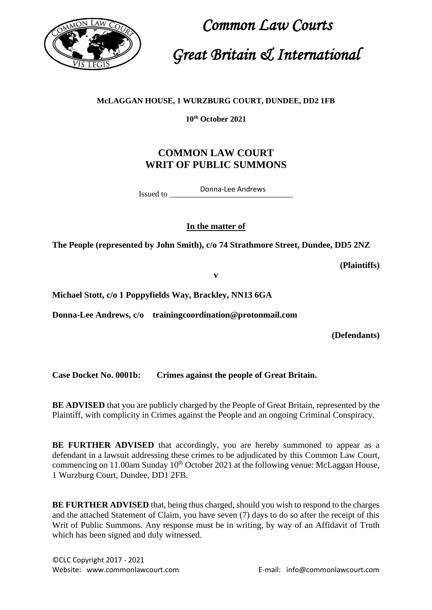

 *Common Law Courts Great Britain & International*

## **McLAGGAN HOUSE, 1 WURZBURG COURT, DUNDEE, DD2 1FB**

**10th October 2021**

## **COMMON LAW COURT WRIT OF PUBLIC SUMMONS**

Issued to Donna-Lee Andrews

**In the matter of**

**The People (represented by John Smith), c/o 74 Strathmore Street, Dundee, DD5 2NZ**

**(Plaintiffs)**

**v** 

**Michael Stott, c/o 1 Poppyfields Way, Brackley, NN13 6GA**

**Donna-Lee Andrews, c/o trainingcoordination@protonmail.com**

**(Defendants)**

**Case Docket No. 0001b: Crimes against the people of Great Britain.**

**BE ADVISED** that you are publicly charged by the People of Great Britain, represented by the Plaintiff, with complicity in Crimes against the People and an ongoing Criminal Conspiracy.

**BE FURTHER ADVISED** that accordingly, you are hereby summoned to appear as a defendant in a lawsuit addressing these crimes to be adjudicated by this Common Law Court, commencing on 11.00am Sunday  $10<sup>th</sup>$  October 2021 at the following venue: McLaggan House, 1 Wurzburg Court, Dundee, DD1 2FB.

**BE FURTHER ADVISED** that, being thus charged, should you wish to respond to the charges and the attached Statement of Claim, you have seven (7) days to do so after the receipt of this Writ of Public Summons. Any response must be in writing, by way of an Affidavit of Truth which has been signed and duly witnessed.